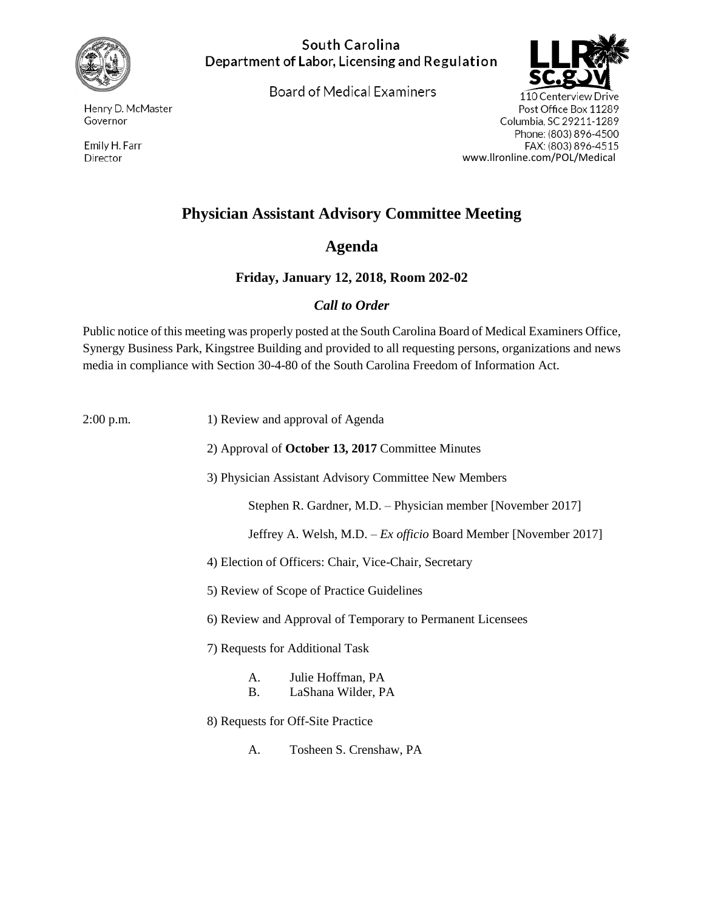

Henry D. McMaster Governor

Emily H. Farr Director

#### South Carolina Department of Labor, Licensing and Regulation

**Board of Medical Examiners** 



110 Centerview Drive Post Office Box 11289 Columbia, SC 29211-1289 Phone: (803) 896-4500 FAX: (803) 896-4515 www.llronline.com/POL/Medical

# **Physician Assistant Advisory Committee Meeting**

## **Agenda**

### **Friday, January 12, 2018, Room 202-02**

### *Call to Order*

Public notice of this meeting was properly posted at the South Carolina Board of Medical Examiners Office, Synergy Business Park, Kingstree Building and provided to all requesting persons, organizations and news media in compliance with Section 30-4-80 of the South Carolina Freedom of Information Act.

2:00 p.m. 1) Review and approval of Agenda 2) Approval of **October 13, 2017** Committee Minutes 3) Physician Assistant Advisory Committee New Members Stephen R. Gardner, M.D. – Physician member [November 2017] Jeffrey A. Welsh, M.D. – *Ex officio* Board Member [November 2017] 4) Election of Officers: Chair, Vice-Chair, Secretary 5) Review of Scope of Practice Guidelines 6) Review and Approval of Temporary to Permanent Licensees 7) Requests for Additional Task A. Julie Hoffman, PA B. LaShana Wilder, PA 8) Requests for Off-Site Practice A. Tosheen S. Crenshaw, PA